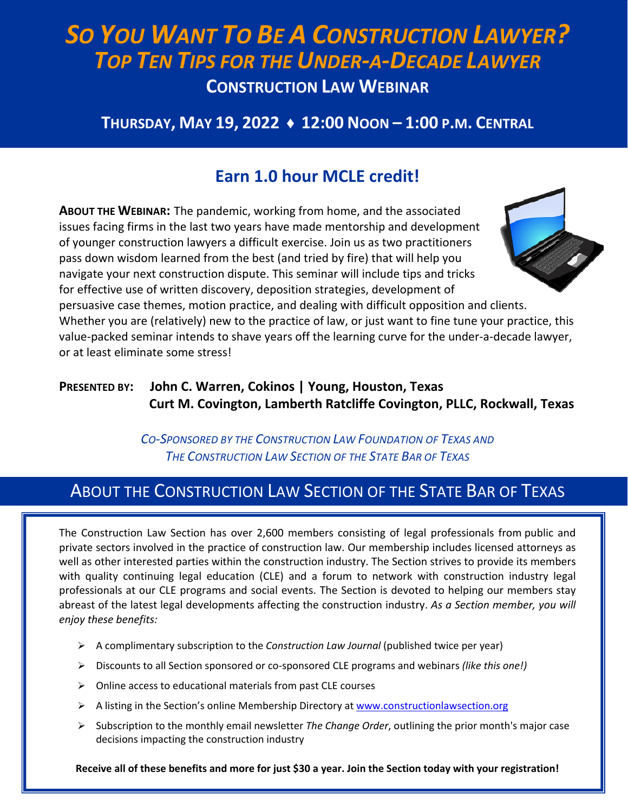# *SO YOU WANT TO BE A CONSTRUCTION LAWYER? TOP TEN TIPS FOR THE UNDER‐A‐DECADE LAWYER*

**CONSTRUCTION LAW WEBINAR**

## **THURSDAY, MAY 19, 2022 ♦ 12:00 NOON – 1:00 P.M. CENTRAL**

## **Earn 1.0 hour MCLE credit!**

**ABOUT THE WEBINAR:** The pandemic, working from home, and the associated issues facing firms in the last two years have made mentorship and development of younger construction lawyers a difficult exercise. Join us as two practitioners pass down wisdom learned from the best (and tried by fire) that will help you navigate your next construction dispute. This seminar will include tips and tricks for effective use of written discovery, deposition strategies, development of



persuasive case themes, motion practice, and dealing with difficult opposition and clients. Whether you are (relatively) new to the practice of law, or just want to fine tune your practice, this value‐packed seminar intends to shave years off the learning curve for the under‐a‐decade lawyer, or at least eliminate some stress!

### **PRESENTED BY: John C. Warren, Cokinos | Young, Houston, Texas Curt M. Covington, Lamberth Ratcliffe Covington, PLLC, Rockwall, Texas**

*CO‐SPONSORED BY THE CONSTRUCTION LAW FOUNDATION OF TEXAS AND THE CONSTRUCTION LAW SECTION OF THE STATE BAR OF TEXAS*

## ABOUT THE CONSTRUCTION LAW SECTION OF THE STATE BAR OF TEXAS

The Construction Law Section has over 2,600 members consisting of legal professionals from public and private sectors involved in the practice of construction law. Our membership includes licensed attorneys as well as other interested parties within the construction industry. The Section strives to provide its members with quality continuing legal education (CLE) and a forum to network with construction industry legal professionals at our CLE programs and social events. The Section is devoted to helping our members stay abreast of the latest legal developments affecting the construction industry. *As a Section member, you will enjoy these benefits:*

- A complimentary subscription to the *Construction Law Journal* (published twice per year)
- Discounts to all Section sponsored or co‐sponsored CLE programs and webinars *(like this one!)*
- $\triangleright$  Online access to educational materials from past CLE courses
- A listing in the Section's online Membership Directory at www.constructionlawsection.org
- Subscription to the monthly email newsletter *The Change Order*, outlining the prior month's major case decisions impacting the construction industry

Receive all of these benefits and more for just \$30 a year. Join the Section today with your registration!